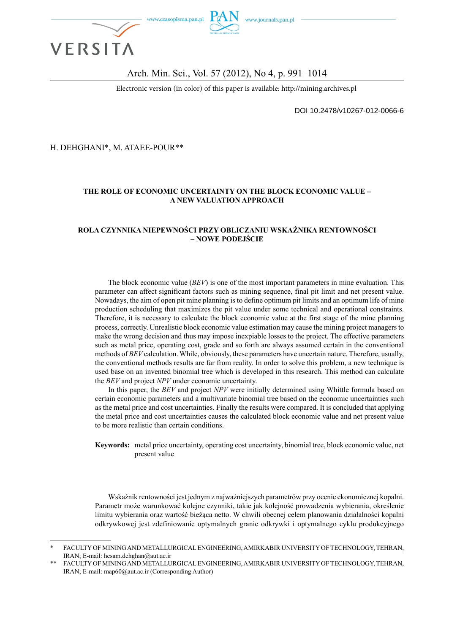

#### Arch. Min. Sci., Vol. 57 (2012), No 4, p. 991–1014

Electronic version (in color) of this paper is available: http://mining.archives.pl

DOI 10.2478/v10267-012-0066-6

H. DEHGHANI\*, M. ATAEE-POUR\*\*

#### **THE ROLE OF ECONOMIC UNCERTAINTY ON THE BLOCK ECONOMIC VALUE – A NEW VALUATION APPROACH**

#### **ROLA CZYNNIKA NIEPEWNOŚCI PRZY OBLICZANIU WSKAŹNIKA RENTOWNOŚCI – NOWE PODEJŚCIE**

The block economic value (*BEV*) is one of the most important parameters in mine evaluation. This parameter can affect significant factors such as mining sequence, final pit limit and net present value. Nowadays, the aim of open pit mine planning is to define optimum pit limits and an optimum life of mine production scheduling that maximizes the pit value under some technical and operational constraints. Therefore, it is necessary to calculate the block economic value at the first stage of the mine planning process, correctly. Unrealistic block economic value estimation may cause the mining project managers to make the wrong decision and thus may impose inexpiable losses to the project. The effective parameters such as metal price, operating cost, grade and so forth are always assumed certain in the conventional methods of *BEV* calculation. While, obviously, these parameters have uncertain nature. Therefore, usually, the conventional methods results are far from reality. In order to solve this problem, a new technique is used base on an invented binomial tree which is developed in this research. This method can calculate the *BEV* and project *NPV* under economic uncertainty.

In this paper, the *BEV* and project *NPV* were initially determined using Whittle formula based on certain economic parameters and a multivariate binomial tree based on the economic uncertainties such as the metal price and cost uncertainties. Finally the results were compared. It is concluded that applying the metal price and cost uncertainties causes the calculated block economic value and net present value to be more realistic than certain conditions.

**Keywords:** metal price uncertainty, operating cost uncertainty, binomial tree, block economic value, net present value

Wskaźnik rentowności jest jednym z najważniejszych parametrów przy ocenie ekonomicznej kopalni. Parametr może warunkować kolejne czynniki, takie jak kolejność prowadzenia wybierania, określenie limitu wybierania oraz wartość bieżąca netto. W chwili obecnej celem planowania działalności kopalni odkrywkowej jest zdefiniowanie optymalnych granic odkrywki i optymalnego cyklu produkcyjnego

FACULTY OF MINING AND METALLURGICAL ENGINEERING, AMIRKABIR UNIVERSITY OF TECHNOLOGY, TEHRAN, IRAN; E-mail: hesam.dehghan@aut.ac.ir

FACULTY OF MINING AND METALLURGICAL ENGINEERING, AMIRKABIR UNIVERSITY OF TECHNOLOGY, TEHRAN, IRAN; E-mail: map60@aut.ac.ir (Corresponding Author)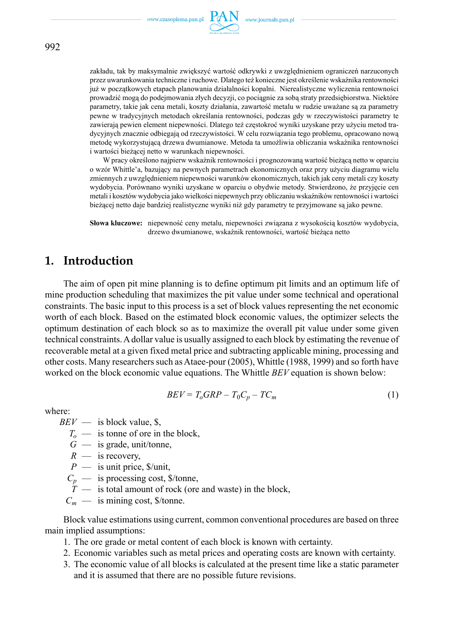

zakładu, tak by maksymalnie zwiększyć wartość odkrywki z uwzględnieniem ograniczeń narzuconych przez uwarunkowania techniczne i ruchowe. Dlatego też konieczne jest określenie wskaźnika rentowności już w początkowych etapach planowania działalności kopalni. Nierealistyczne wyliczenia rentowności prowadzić mogą do podejmowania złych decyzji, co pociągnie za sobą straty przedsiębiorstwa. Niektóre parametry, takie jak cena metali, koszty działania, zawartość metalu w rudzie uważane są za parametry pewne w tradycyjnych metodach określania rentowności, podczas gdy w rzeczywistości parametry te zawierają pewien element niepewności. Dlatego też częstokroć wyniki uzyskane przy użyciu metod tradycyjnych znacznie odbiegają od rzeczywistości. W celu rozwiązania tego problemu, opracowano nową metodę wykorzystującą drzewa dwumianowe. Metoda ta umożliwia obliczania wskaźnika rentowności i wartości bieżącej netto w warunkach niepewności.

W pracy określono najpierw wskaźnik rentowności i prognozowaną wartość bieżącą netto w oparciu o wzór Whittle'a, bazujący na pewnych parametrach ekonomicznych oraz przy użyciu diagramu wielu zmiennych z uwzględnieniem niepewności warunków ekonomicznych, takich jak ceny metali czy koszty wydobycia. Porównano wyniki uzyskane w oparciu o obydwie metody. Stwierdzono, że przyjęcie cen metali i kosztów wydobycia jako wielkości niepewnych przy obliczaniu wskaźników rentowności i wartości bieżącej netto daje bardziej realistyczne wyniki niż gdy parametry te przyjmowane są jako pewne.

**Słowa kluczowe:** niepewność ceny metalu, niepewności związana z wysokością kosztów wydobycia, drzewo dwumianowe, wskaźnik rentowności, wartość bieżąca netto

### **1. Introduction**

The aim of open pit mine planning is to define optimum pit limits and an optimum life of mine production scheduling that maximizes the pit value under some technical and operational constraints. The basic input to this process is a set of block values representing the net economic worth of each block. Based on the estimated block economic values, the optimizer selects the optimum destination of each block so as to maximize the overall pit value under some given technical constraints. A dollar value is usually assigned to each block by estimating the revenue of recoverable metal at a given fixed metal price and subtracting applicable mining, processing and other costs. Many researchers such as Ataee-pour (2005), Whittle (1988, 1999) and so forth have worked on the block economic value equations. The Whittle *BEV* equation is shown below:

$$
BEV = T_oGRP - T_0C_p - TC_m \tag{1}
$$

where:

- $BEV$  is block value, \$,
	- $T<sub>o</sub>$  is tonne of ore in the block,
	- $G$  is grade, unit/tonne,
	- $R$  is recovery,
	- *P* is unit price, \$/unit,
	- $C_p$  is processing cost, \$/tonne,
	- $T$  is total amount of rock (ore and waste) in the block,
	- $C_m$  is mining cost, \$/tonne.

Block value estimations using current, common conventional procedures are based on three main implied assumptions:

- 1. The ore grade or metal content of each block is known with certainty.
- 2. Economic variables such as metal prices and operating costs are known with certainty.
- 3. The economic value of all blocks is calculated at the present time like a static parameter and it is assumed that there are no possible future revisions.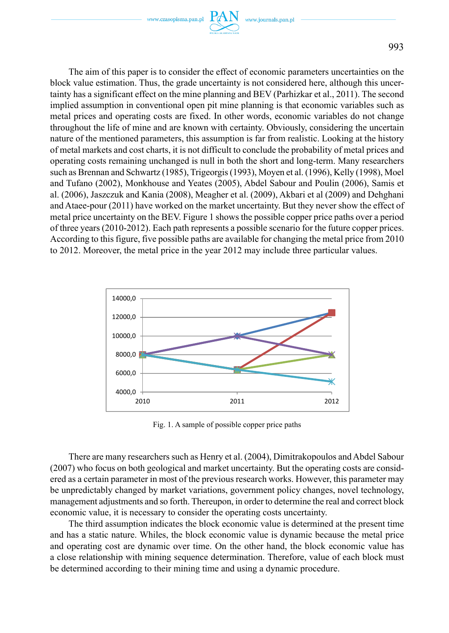The aim of this paper is to consider the effect of economic parameters uncertainties on the block value estimation. Thus, the grade uncertainty is not considered here, although this uncertainty has a significant effect on the mine planning and BEV (Parhizkar et al., 2011). The second implied assumption in conventional open pit mine planning is that economic variables such as metal prices and operating costs are fixed. In other words, economic variables do not change throughout the life of mine and are known with certainty. Obviously, considering the uncertain nature of the mentioned parameters, this assumption is far from realistic. Looking at the history of metal markets and cost charts, it is not difficult to conclude the probability of metal prices and operating costs remaining unchanged is null in both the short and long-term. Many researchers such as Brennan and Schwartz (1985), Trigeorgis (1993), Moyen et al. (1996), Kelly (1998), Moel and Tufano (2002), Monkhouse and Yeates (2005), Abdel Sabour and Poulin (2006), Samis et al. (2006), Jaszczuk and Kania (2008), Meagher et al. (2009), Akbari et al (2009) and Dehghani and Ataee-pour (2011) have worked on the market uncertainty. But they never show the effect of metal price uncertainty on the BEV. Figure 1 shows the possible copper price paths over a period of three years (2010-2012). Each path represents a possible scenario for the future copper prices. According to this figure, five possible paths are available for changing the metal price from 2010 to 2012. Moreover, the metal price in the year 2012 may include three particular values.



Fig. 1. A sample of possible copper price paths

There are many researchers such as Henry et al. (2004), Dimitrakopoulos and Abdel Sabour (2007) who focus on both geological and market uncertainty. But the operating costs are considered as a certain parameter in most of the previous research works. However, this parameter may be unpredictably changed by market variations, government policy changes, novel technology, management adjustments and so forth. Thereupon, in order to determine the real and correct block economic value, it is necessary to consider the operating costs uncertainty.

The third assumption indicates the block economic value is determined at the present time and has a static nature. Whiles, the block economic value is dynamic because the metal price and operating cost are dynamic over time. On the other hand, the block economic value has a close relationship with mining sequence determination. Therefore, value of each block must be determined according to their mining time and using a dynamic procedure.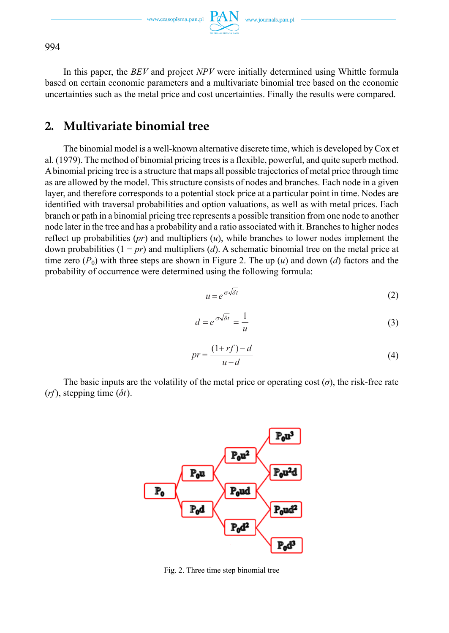In this paper, the *BEV* and project *NPV* were initially determined using Whittle formula based on certain economic parameters and a multivariate binomial tree based on the economic uncertainties such as the metal price and cost uncertainties. Finally the results were compared.

# **2. Multivariate binomial tree**

The binomial model is a well-known alternative discrete time, which is developed by Cox et al. (1979). The method of binomial pricing trees is a flexible, powerful, and quite superb method. A binomial pricing tree is a structure that maps all possible trajectories of metal price through time as are allowed by the model. This structure consists of nodes and branches. Each node in a given layer, and therefore corresponds to a potential stock price at a particular point in time. Nodes are identified with traversal probabilities and option valuations, as well as with metal prices. Each branch or path in a binomial pricing tree represents a possible transition from one node to another node later in the tree and has a probability and a ratio associated with it. Branches to higher nodes reflect up probabilities (*pr*) and multipliers (*u*), while branches to lower nodes implement the down probabilities (1 − *pr*) and multipliers (*d*). A schematic binomial tree on the metal price at time zero  $(P_0)$  with three steps are shown in Figure 2. The up  $(u)$  and down  $(d)$  factors and the probability of occurrence were determined using the following formula:

$$
u = e^{\sigma \sqrt{\delta t}} \tag{2}
$$

$$
d = e^{\sigma \sqrt{\delta t}} = \frac{1}{u}
$$
 (3)

$$
pr = \frac{(1+rf)-d}{u-d} \tag{4}
$$

The basic inputs are the volatility of the metal price or operating cost  $(\sigma)$ , the risk-free rate (*rf*), stepping time (*δt*).



Fig. 2. Three time step binomial tree

994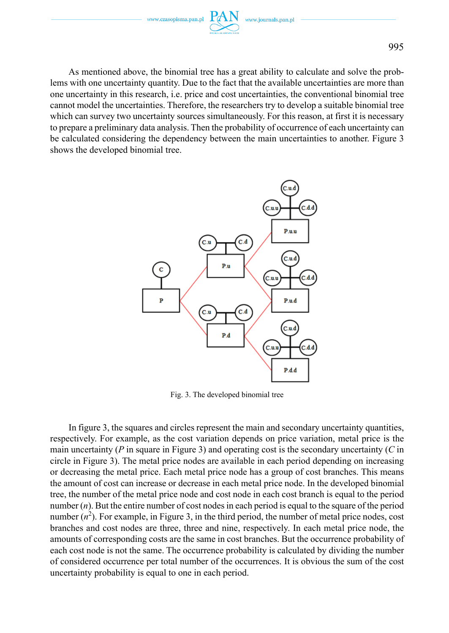As mentioned above, the binomial tree has a great ability to calculate and solve the problems with one uncertainty quantity. Due to the fact that the available uncertainties are more than one uncertainty in this research, i.e. price and cost uncertainties, the conventional binomial tree cannot model the uncertainties. Therefore, the researchers try to develop a suitable binomial tree which can survey two uncertainty sources simultaneously. For this reason, at first it is necessary to prepare a preliminary data analysis. Then the probability of occurrence of each uncertainty can be calculated considering the dependency between the main uncertainties to another. Figure 3 shows the developed binomial tree.



Fig. 3. The developed binomial tree

In figure 3, the squares and circles represent the main and secondary uncertainty quantities, respectively. For example, as the cost variation depends on price variation, metal price is the main uncertainty (*P* in square in Figure 3) and operating cost is the secondary uncertainty (*C* in circle in Figure 3). The metal price nodes are available in each period depending on increasing or decreasing the metal price. Each metal price node has a group of cost branches. This means the amount of cost can increase or decrease in each metal price node. In the developed binomial tree, the number of the metal price node and cost node in each cost branch is equal to the period number (*n*). But the entire number of cost nodes in each period is equal to the square of the period number  $(n^2)$ . For example, in Figure 3, in the third period, the number of metal price nodes, cost branches and cost nodes are three, three and nine, respectively. In each metal price node, the amounts of corresponding costs are the same in cost branches. But the occurrence probability of each cost node is not the same. The occurrence probability is calculated by dividing the number of considered occurrence per total number of the occurrences. It is obvious the sum of the cost uncertainty probability is equal to one in each period.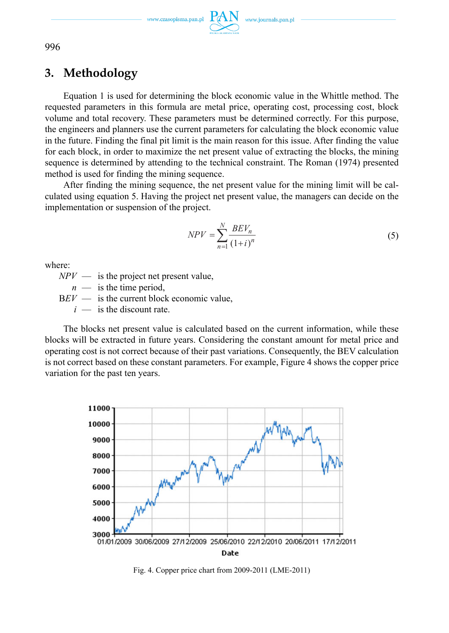www.journals.pan.pl

996

# **3. Methodology**

Equation 1 is used for determining the block economic value in the Whittle method. The requested parameters in this formula are metal price, operating cost, processing cost, block volume and total recovery. These parameters must be determined correctly. For this purpose, the engineers and planners use the current parameters for calculating the block economic value in the future. Finding the final pit limit is the main reason for this issue. After finding the value for each block, in order to maximize the net present value of extracting the blocks, the mining sequence is determined by attending to the technical constraint. The Roman (1974) presented method is used for finding the mining sequence.

After finding the mining sequence, the net present value for the mining limit will be calculated using equation 5. Having the project net present value, the managers can decide on the implementation or suspension of the project.

$$
NPV = \sum_{n=1}^{N} \frac{BEV_n}{(1+i)^n}
$$
\n(5)

where:

 $NPV$  — is the project net present value.

 $n$  — is the time period,

 $BEV$  — is the current block economic value,

 $i$  — is the discount rate.

The blocks net present value is calculated based on the current information, while these blocks will be extracted in future years. Considering the constant amount for metal price and operating cost is not correct because of their past variations. Consequently, the BEV calculation is not correct based on these constant parameters. For example, Figure 4 shows the copper price variation for the past ten years.



Fig. 4. Copper price chart from 2009-2011 (LME-2011)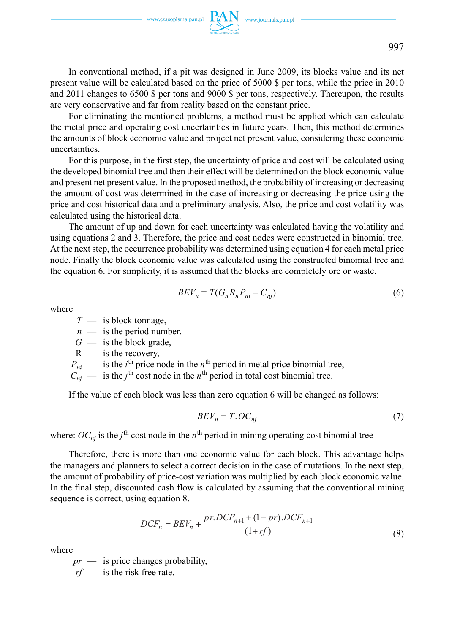In conventional method, if a pit was designed in June 2009, its blocks value and its net present value will be calculated based on the price of 5000 \$ per tons, while the price in 2010 and 2011 changes to 6500 \$ per tons and 9000 \$ per tons, respectively. Thereupon, the results are very conservative and far from reality based on the constant price.

For eliminating the mentioned problems, a method must be applied which can calculate the metal price and operating cost uncertainties in future years. Then, this method determines the amounts of block economic value and project net present value, considering these economic uncertainties.

For this purpose, in the first step, the uncertainty of price and cost will be calculated using the developed binomial tree and then their effect will be determined on the block economic value and present net present value. In the proposed method, the probability of increasing or decreasing the amount of cost was determined in the case of increasing or decreasing the price using the price and cost historical data and a preliminary analysis. Also, the price and cost volatility was calculated using the historical data.

The amount of up and down for each uncertainty was calculated having the volatility and using equations 2 and 3. Therefore, the price and cost nodes were constructed in binomial tree. At the next step, the occurrence probability was determined using equation 4 for each metal price node. Finally the block economic value was calculated using the constructed binomial tree and the equation 6. For simplicity, it is assumed that the blocks are completely ore or waste.

$$
BEV_n = T(G_n R_n P_{ni} - C_{nj})
$$
\n<sup>(6)</sup>

where

*T* — is block tonnage,

*n* — is the period number,

 $G$  — is the block grade,

 $R$  — is the recovery,

 $P_{ni}$  — is the *i*<sup>th</sup> price node in the *n*<sup>th</sup> period in metal price binomial tree,

 $C_{nj}$  — is the *j*<sup>th</sup> cost node in the *n*<sup>th</sup> period in total cost binomial tree.

If the value of each block was less than zero equation 6 will be changed as follows:

$$
BEV_n = T. OC_{nj} \tag{7}
$$

where:  $OC_{nj}$  is the *j*<sup>th</sup> cost node in the *n*<sup>th</sup> period in mining operating cost binomial tree

Therefore, there is more than one economic value for each block. This advantage helps the managers and planners to select a correct decision in the case of mutations. In the next step, the amount of probability of price-cost variation was multiplied by each block economic value. In the final step, discounted cash flow is calculated by assuming that the conventional mining sequence is correct, using equation 8.

$$
DCF_n = BEV_n + \frac{pr. DCF_{n+1} + (1-pr). DCF_{n+1}}{(1+rf)}
$$
\n(8)

where

*pr* — is price changes probability,

*rf* — is the risk free rate.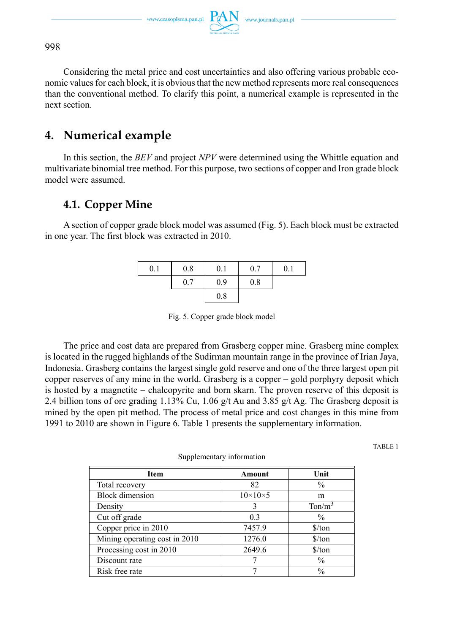Considering the metal price and cost uncertainties and also offering various probable economic values for each block, it is obvious that the new method represents more real consequences than the conventional method. To clarify this point, a numerical example is represented in the next section.

# **4. Numerical example**

In this section, the *BEV* and project *NPV* were determined using the Whittle equation and multivariate binomial tree method. For this purpose, two sections of copper and Iron grade block model were assumed.

### **4.1. Copper Mine**

A section of copper grade block model was assumed (Fig. 5). Each block must be extracted in one year. The first block was extracted in 2010.

| 0.1 | 0.8 | 0.1 | 0.7 | 0.1 |
|-----|-----|-----|-----|-----|
|     | 0.7 | 0.9 | 0.8 |     |
|     |     | 0.8 |     |     |

Fig. 5. Copper grade block model

The price and cost data are prepared from Grasberg copper mine. Grasberg mine complex is located in the rugged highlands of the Sudirman mountain range in the province of Irian Jaya, Indonesia. Grasberg contains the largest single gold reserve and one of the three largest open pit copper reserves of any mine in the world. Grasberg is a copper – gold porphyry deposit which is hosted by a magnetite – chalcopyrite and born skarn. The proven reserve of this deposit is 2.4 billion tons of ore grading 1.13% Cu, 1.06 g/t Au and 3.85 g/t Ag. The Grasberg deposit is mined by the open pit method. The process of metal price and cost changes in this mine from 1991 to 2010 are shown in Figure 6. Table 1 presents the supplementary information.

TABLE 1

| Item                          | Amount              | Unit                 |  |  |  |  |
|-------------------------------|---------------------|----------------------|--|--|--|--|
| Total recovery                | 82                  | $\frac{0}{0}$        |  |  |  |  |
| <b>Block</b> dimension        | $10\times10\times5$ | m                    |  |  |  |  |
| Density                       |                     | $T \text{on/m}^3$    |  |  |  |  |
| Cut off grade                 | 0 <sup>3</sup>      | $\%$                 |  |  |  |  |
| Copper price in 2010          | 7457.9              | $\frac{\sqrt{2}}{2}$ |  |  |  |  |
| Mining operating cost in 2010 | 1276.0              | $\frac{\sqrt{2}}{2}$ |  |  |  |  |
| Processing cost in 2010       | 2649.6              | $\frac{\sqrt{2}}{2}$ |  |  |  |  |
| Discount rate                 |                     | $\%$                 |  |  |  |  |
| Risk free rate                |                     | $\frac{0}{0}$        |  |  |  |  |

Supplementary information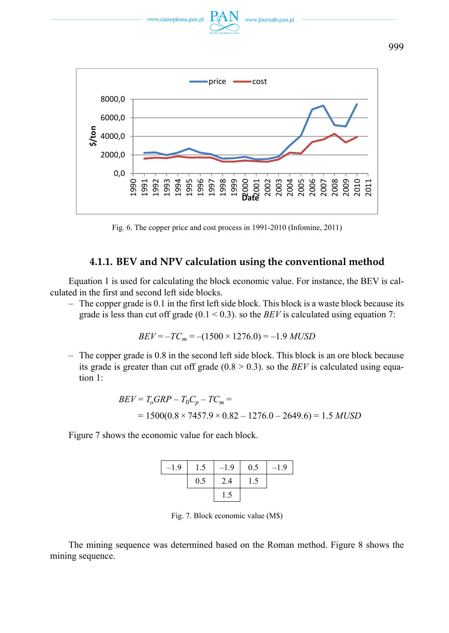

Fig. 6. The copper price and cost process in 1991-2010 (Infomine, 2011)

### **4.1.1. BEV and NPV calculation using the conventional method**

Equation 1 is used for calculating the block economic value. For instance, the BEV is calculated in the first and second left side blocks.

– The copper grade is 0.1 in the first left side block. This block is a waste block because its grade is less than cut off grade  $(0.1 \le 0.3)$ . so the *BEV* is calculated using equation 7:

$$
BEV = -TC_m = -(1500 \times 1276.0) = -1.9 \, MUSD
$$

– The copper grade is 0.8 in the second left side block. This block is an ore block because its grade is greater than cut off grade  $(0.8 \ge 0.3)$ . so the *BEV* is calculated using equation 1:

$$
BEV = T_oGRP - T_0C_p - TC_m =
$$
  
= 1500(0.8 × 7457.9 × 0.82 - 1276.0 - 2649.6) = 1.5 MUSD

Figure 7 shows the economic value for each block.

| $-1.9$ | 1.5 | $-1.9$ | 0.5 | $-1.9$ |
|--------|-----|--------|-----|--------|
|        | 0.5 | 2.4    | 1.5 |        |
|        |     | 1.5    |     |        |

Fig. 7. Block economic value (M\$)

The mining sequence was determined based on the Roman method. Figure 8 shows the mining sequence.

999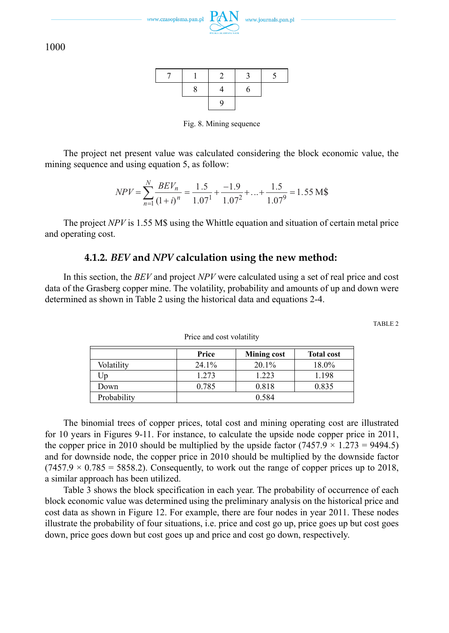

Fig. 8. Mining sequence

The project net present value was calculated considering the block economic value, the mining sequence and using equation 5, as follow:

$$
NPV = \sum_{n=1}^{N} \frac{BEV_n}{(1+i)^n} = \frac{1.5}{1.07^1} + \frac{-1.9}{1.07^2} + \dots + \frac{1.5}{1.07^9} = 1.55 \text{ M}\$
$$

The project *NPV* is 1.55 M\$ using the Whittle equation and situation of certain metal price and operating cost.

### **4.1.2.** *BEV* **and** *NPV* **calculation using the new method:**

In this section, the *BEV* and project *NPV* were calculated using a set of real price and cost data of the Grasberg copper mine. The volatility, probability and amounts of up and down were determined as shown in Table 2 using the historical data and equations 2-4.

TABLE 2

|             | Price    | <b>Mining cost</b> | <b>Total cost</b> |  |
|-------------|----------|--------------------|-------------------|--|
| Volatility  | $24.1\%$ | 20.1%              | 18.0%             |  |
| Up          | 1.273    | 1.223              | 1.198             |  |
| Down        | 0.785    | 0.818              | 0.835             |  |
| Probability |          | 0.584              |                   |  |

Price and cost volatility

The binomial trees of copper prices, total cost and mining operating cost are illustrated for 10 years in Figures 9-11. For instance, to calculate the upside node copper price in 2011, the copper price in 2010 should be multiplied by the upside factor  $(7457.9 \times 1.273 = 9494.5)$ and for downside node, the copper price in 2010 should be multiplied by the downside factor  $(7457.9 \times 0.785 = 5858.2)$ . Consequently, to work out the range of copper prices up to 2018, a similar approach has been utilized.

Table 3 shows the block specification in each year. The probability of occurrence of each block economic value was determined using the preliminary analysis on the historical price and cost data as shown in Figure 12. For example, there are four nodes in year 2011. These nodes illustrate the probability of four situations, i.e. price and cost go up, price goes up but cost goes down, price goes down but cost goes up and price and cost go down, respectively.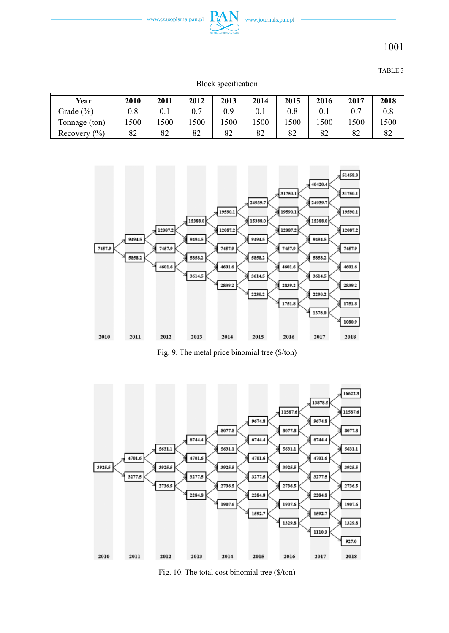

TABLE 3

| Block specification |
|---------------------|
|---------------------|

| Year                                | 2010 | 2011 | 2012 | 2013 | 2014 | 2015 | 2016 | 2017 | 2018 |
|-------------------------------------|------|------|------|------|------|------|------|------|------|
| Grade (%)                           | 0.8  |      | 0.7  | 0.9  |      | 0.8  |      |      | 0.8  |
| Tonnage (ton)                       | 1500 | 500  | 500  | 1500 | 500  | 500  | 1500 | .500 | 500  |
| Recovery $\left(\frac{9}{0}\right)$ | 82   | 82   | 82   | 82   | 82   | 82   | 82   | 82   | 82   |



Fig. 9. The metal price binomial tree (\$/ton)



Fig. 10. The total cost binomial tree (\$/ton)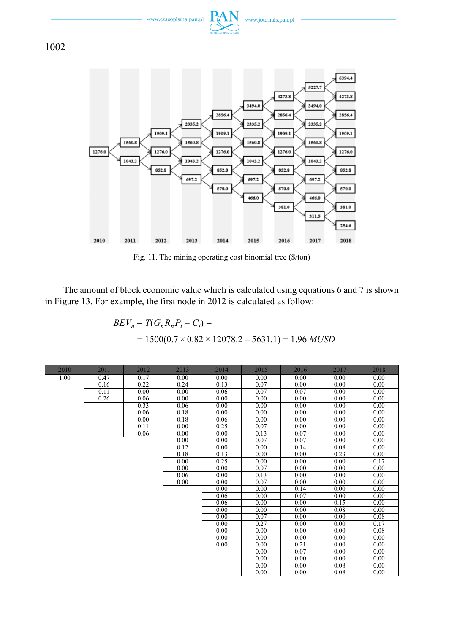



Fig. 11. The mining operating cost binomial tree (\$/ton)

The amount of block economic value which is calculated using equations 6 and 7 is shown in Figure 13. For example, the first node in 2012 is calculated as follow:

$$
BEV_n = T(G_n R_n P_i - C_j) =
$$
  
= 1500(0.7 × 0.82 × 12078.2 – 5631.1) = 1.96 *MUSD*

| 2010 | 2011 | 2012 | 2013 | 2014 | 2015 | 2016              | 2017 | 2018 |
|------|------|------|------|------|------|-------------------|------|------|
| 1.00 | 0.47 | 0.17 | 0.00 | 0.00 | 0.00 | 0.00              | 0.00 | 0.00 |
|      | 0.16 | 0.22 | 0.24 | 0.13 | 0.07 | 0.00              | 0.00 | 0.00 |
|      | 0.11 | 0.00 | 0.00 | 0.06 | 0.07 | 0.07              | 0.00 | 0.00 |
|      | 0.26 | 0.06 | 0.00 | 0.00 | 0.00 | 0.00              | 0.00 | 0.00 |
|      |      | 0.33 | 0.06 | 0.00 | 0.00 | 0.00              | 0.00 | 0.00 |
|      |      | 0.06 | 0.18 | 0.00 | 0.00 | 0.00              | 0.00 | 0.00 |
|      |      | 0.00 | 0.18 | 0.06 | 0.00 | 0.00              | 0.00 | 0.00 |
|      |      | 0.11 | 0.00 | 0.25 | 0.07 | $\overline{0.00}$ | 0.00 | 0.00 |
|      |      | 0.06 | 0.00 | 0.00 | 0.13 | 0.07              | 0.00 | 0.00 |
|      |      |      | 0.00 | 0.00 | 0.07 | 0.07              | 0.00 | 0.00 |
|      |      |      | 0.12 | 0.00 | 0.00 | 0.14              | 0.08 | 0.00 |
|      |      |      | 0.18 | 0.13 | 0.00 | 0.00              | 0.23 | 0.00 |
|      |      |      | 0.00 | 0.25 | 0.00 | 0.00              | 0.00 | 0.17 |
|      |      |      | 0.00 | 0.00 | 0.07 | 0.00              | 0.00 | 0.00 |
|      |      |      | 0.06 | 0.00 | 0.13 | 0.00              | 0.00 | 0.00 |
|      |      |      | 0.00 | 0.00 | 0.07 | 0.00              | 0.00 | 0.00 |
|      |      |      |      | 0.00 | 0.00 | 0.14              | 0.00 | 0.00 |
|      |      |      |      | 0.06 | 0.00 | 0.07              | 0.00 | 0.00 |
|      |      |      |      | 0.06 | 0.00 | 0.00              | 0.15 | 0.00 |
|      |      |      |      | 0.00 | 0.00 | 0.00              | 0.08 | 0.00 |
|      |      |      |      | 0.00 | 0.07 | 0.00              | 0.00 | 0.08 |
|      |      |      |      | 0.00 | 0.27 | 0.00              | 0.00 | 0.17 |
|      |      |      |      | 0.00 | 0.00 | 0.00              | 0.00 | 0.08 |
|      |      |      |      | 0.00 | 0.00 | 0.00              | 0.00 | 0.00 |
|      |      |      |      | 0.00 | 0.00 | 0.21              | 0.00 | 0.00 |
|      |      |      |      |      | 0.00 | 0.07              | 0.00 | 0.00 |
|      |      |      |      |      | 0.00 | 0.00              | 0.00 | 0.00 |
|      |      |      |      |      | 0.00 | 0.00              | 0.08 | 0.00 |
|      |      |      |      |      | 0.00 | 0.00              | 0.08 | 0.00 |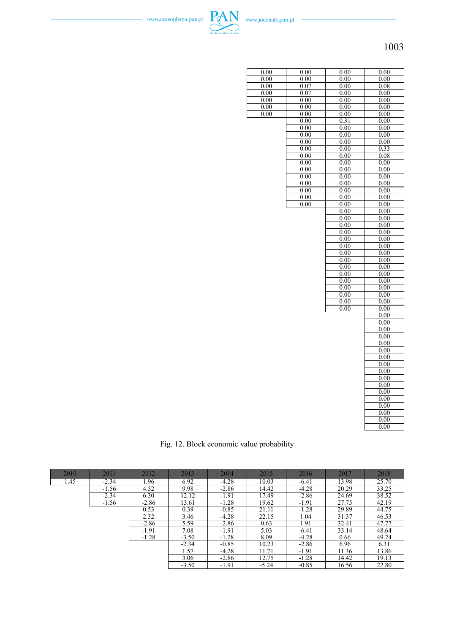

| $\overline{0.00}$ | 0.00 | 0.00 | 0.00 |
|-------------------|------|------|------|
| 0.00              | 0.00 | 0.00 | 0.00 |
| $_{0.00}$         | 0.07 | 0.00 | 0.08 |
| 0.00              | 0.07 | 0.00 | 0.00 |
| 0.00              | 0.00 | 0.00 | 0.00 |
| 0.00              | 0.00 | 0.00 | 0.00 |
| 0.00              | 0.00 | 0.00 | 0.00 |
|                   | 0.00 | 0.31 | 0.00 |
|                   | 0.00 | 0.00 | 0.00 |
|                   | 0.00 | 0.00 | 0.00 |
|                   | 0.00 | 0.00 | 0.00 |
|                   | 0.00 | 0.00 | 0.33 |
|                   | 0.00 | 0.00 | 0.08 |
|                   | 0.00 | 0.00 | 0.00 |
|                   | 0.00 | 0.00 | 0.00 |
|                   | 0.00 | 0.00 | 0.00 |
|                   | 0.00 | 0.00 | 0.00 |
|                   | 0.00 | 0.00 | 0.00 |
|                   | 0.00 | 0.00 | 0.00 |
|                   | 0.00 | 0.00 | 0.00 |
|                   |      | 0.00 | 0.00 |
|                   |      | 0.00 | 0.00 |
|                   |      | 0.00 | 0.00 |
|                   |      | 0.00 | 0.00 |
|                   |      | 0.00 | 0.00 |
|                   |      | 0.00 | 0.00 |
|                   |      | 0.00 | 0.00 |
|                   |      | 0.00 | 0.00 |
|                   |      | 0.00 | 0.00 |
|                   |      | 0.00 | 0.00 |
|                   |      | 0.00 | 0.00 |
|                   |      | 0.00 | 0.00 |
|                   |      | 0.00 | 0.00 |
|                   |      | 0.00 | 0.00 |
|                   |      | 0.00 | 0.00 |
|                   |      |      | 0.00 |
|                   |      |      | 0.00 |
|                   |      |      | 0.00 |
|                   |      |      | 0.00 |
|                   |      |      | 0.00 |
|                   |      |      | 0.00 |
|                   |      |      | 0.00 |
|                   |      |      | 0.00 |
|                   |      |      | 0.00 |
|                   |      |      | 0.00 |
|                   |      |      | 0.00 |
|                   |      |      | 0.00 |
|                   |      |      | 0.00 |
|                   |      |      | 0.00 |
|                   |      |      | 0.00 |
|                   |      |      | 0.00 |
|                   |      |      | 0.00 |
|                   |      |      |      |

Fig. 12. Block economic value probability

| 2010 | 2011    | 2012    | 2013    | 2014    | 2015    | 2016    | 2017  | 2018  |
|------|---------|---------|---------|---------|---------|---------|-------|-------|
| 1.45 | $-2.34$ | 1.96    | 6.92    | $-4.28$ | 10.03   | $-6.41$ | 13.98 | 25.70 |
|      | $-1.56$ | 4.52    | 9.98    | $-2.86$ | 14.42   | $-4.28$ | 20.29 | 33.25 |
|      | $-2.34$ | 6.30    | 12.12   | $-1.91$ | 17.49   | $-2.86$ | 24.69 | 38.52 |
|      | $-1.56$ | $-2.86$ | 13.61   | $-1.28$ | 19.62   | $-1.91$ | 27.75 | 42.19 |
|      |         | 0.53    | 0.39    | $-0.85$ | 21.11   | $-1.28$ | 29.89 | 44.75 |
|      |         | 2.32    | 3.46    | $-4.28$ | 22.15   | 1.04    | 31.37 | 46.53 |
|      |         | $-2.86$ | 5.59    | $-2.86$ | 0.63    | 1.91    | 32.41 | 47.77 |
|      |         | $-1.91$ | 7.08    | $-1.91$ | 5.03    | $-6.41$ | 33.14 | 48.64 |
|      |         | $-1.28$ | $-3.50$ | $-1.28$ | 8.09    | $-4.28$ | 0.66  | 49.24 |
|      |         |         | $-2.34$ | $-0.85$ | 10.23   | $-2.86$ | 6.96  | 6.31  |
|      |         |         | 1.57    | $-4.28$ | 11.71   | $-1.91$ | 11.36 | 13.86 |
|      |         |         | 3.06    | $-2.86$ | 12.75   | $-1.28$ | 14.42 | 19.13 |
|      |         |         | $-3.50$ | $-1.91$ | $-5.24$ | $-0.85$ | 16.56 | 22.80 |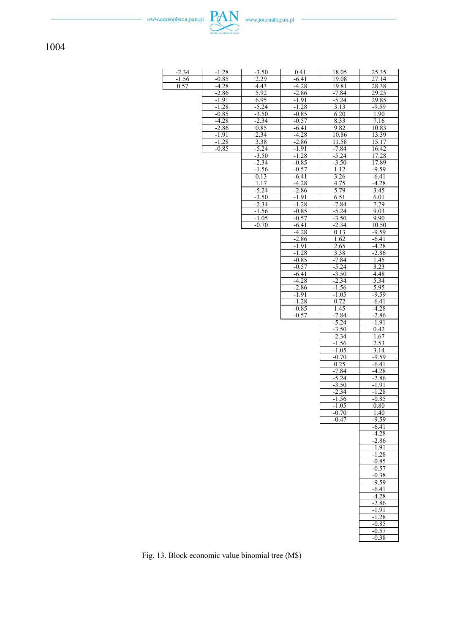| $\frac{-2.34}{-1.56}$<br>$-1.28$<br>$-3.50$<br>0.41<br>18.05<br>25.35<br>$-0.85$<br>2.29<br>$-6.41$<br>19.08<br>27.14<br>0.57<br>$-4.28$<br>4.43<br>$-4.28$<br>28.38<br>19.81<br>$-2.86$<br>5.92<br>$-2.86$<br>$-7.84$<br>29.25<br>6.95<br>$-5.24$<br>29.85<br>$-1.91$<br>$-1.91$<br>$-1.28$<br>$-5.24$<br>$-1.28$<br>3.13<br>$-9.59$<br>$\frac{-3.50}{-2.34}$<br>$-0.85$<br>$-0.85$<br>6.20<br>1.90<br>8.33<br>$-4.28$<br>7.16<br>$-0.57$<br>9.82<br>$-2.86$<br>0.85<br>10.83<br>$-6.41$<br>$-1.91$<br>2.34<br>$-4.28$<br>10.86<br>13.39<br>$-1.28$<br>3.38<br>11.58<br>15.17<br>$-2.86$<br>$-5.24$<br>$-0.85$<br>$-1.91$<br>$-7.84$<br>16.42<br>$-1.28$<br>17.28<br>$-3.50$<br>$-5.24$<br>$-3.50$<br>$-2.34$<br>$-0.85$<br>17.89<br>$-9.59$<br>-1.56<br>1.12<br>$-0.57$<br>3.26<br>$-6.41$<br>0.13<br>$-6.41$<br>1.17<br>$-4.28$<br>4.75<br>$-4.28$<br>5.79<br>$-5.24$<br>$-2.86$<br>3.45<br>$-3.50$<br>6.51<br>$-1.91$<br>6.01<br>$-2.34$<br>$-1.28$<br>$-7.84$<br>7.79<br>$-5.24$<br>9.03<br>$-1.56$<br>$-0.85$<br>$-0.57$<br>$-3.50$<br>9.90<br>$-1.05$<br>$-0.70$<br>$-6.41$<br>$-2.34$<br>10.50<br>$-4.28$<br>$-9.59$<br>0.13<br>$-2.86$<br>1.62<br>-6.41<br>$-1.91$<br>$-4.28$<br><u>2.65</u><br>$-1.28$<br>3.38<br>$-2.86$<br>$-0.85$<br>$-7.84$<br>1.45<br>$-0.57$<br>3.23<br>$-5.24$<br>$-6.41$<br>$-3.50$<br>4.48<br>$-2.34$<br>$-4.28$<br>5.34<br>5.95<br>$-2.86$<br>$-1.56$<br>$-1.91$<br>$-9.59$<br>$-1.05$<br>$-1.28$<br>0.72<br>$-6.41$<br>$-0.85$<br>$-4.28$<br>1.45<br>$-0.57$<br>$-7.84$<br>$-2.86$<br>$-5.24$<br>$-1.91$<br>$-3.50$<br>0.42<br>$-2.34$<br>1.67<br>$-1.56$<br>2.53<br>$-1.05$<br>3.14<br>$-0.70$<br>$-9.59$<br>0.25<br>$-6.41$<br>$-7.84$<br>$-4.28$<br>$-5.24$<br>$-2.86$<br>$-3.50$<br>$-1.91$<br>$-2.\overline{34}$<br>$-1.28$<br>$-1.56$<br>$-0.85$<br>$-1.05$<br>0.80<br>$-0.70$<br>1.40<br>$-0.47$<br>$-9.59$<br>$-6.41$<br>$-4.28$<br>$-2.86$<br>$-1.91$<br>$-1.28$<br>$-0.85$<br>-0.57<br>$-0.38$<br>$-9.59$<br>$-6.41$<br>$-4.28$<br>$-2.86$<br>$-1.91$<br>$-1.28$<br>$-0.85$<br>$-0.57$<br>$-0.38$ |  |  |  |
|--------------------------------------------------------------------------------------------------------------------------------------------------------------------------------------------------------------------------------------------------------------------------------------------------------------------------------------------------------------------------------------------------------------------------------------------------------------------------------------------------------------------------------------------------------------------------------------------------------------------------------------------------------------------------------------------------------------------------------------------------------------------------------------------------------------------------------------------------------------------------------------------------------------------------------------------------------------------------------------------------------------------------------------------------------------------------------------------------------------------------------------------------------------------------------------------------------------------------------------------------------------------------------------------------------------------------------------------------------------------------------------------------------------------------------------------------------------------------------------------------------------------------------------------------------------------------------------------------------------------------------------------------------------------------------------------------------------------------------------------------------------------------------------------------------------------------------------------------------------------------------------------------------------------------------------------------------------------------------------------------------------------------------------------------|--|--|--|
|                                                                                                                                                                                                                                                                                                                                                                                                                                                                                                                                                                                                                                                                                                                                                                                                                                                                                                                                                                                                                                                                                                                                                                                                                                                                                                                                                                                                                                                                                                                                                                                                                                                                                                                                                                                                                                                                                                                                                                                                                                                  |  |  |  |
|                                                                                                                                                                                                                                                                                                                                                                                                                                                                                                                                                                                                                                                                                                                                                                                                                                                                                                                                                                                                                                                                                                                                                                                                                                                                                                                                                                                                                                                                                                                                                                                                                                                                                                                                                                                                                                                                                                                                                                                                                                                  |  |  |  |
|                                                                                                                                                                                                                                                                                                                                                                                                                                                                                                                                                                                                                                                                                                                                                                                                                                                                                                                                                                                                                                                                                                                                                                                                                                                                                                                                                                                                                                                                                                                                                                                                                                                                                                                                                                                                                                                                                                                                                                                                                                                  |  |  |  |
|                                                                                                                                                                                                                                                                                                                                                                                                                                                                                                                                                                                                                                                                                                                                                                                                                                                                                                                                                                                                                                                                                                                                                                                                                                                                                                                                                                                                                                                                                                                                                                                                                                                                                                                                                                                                                                                                                                                                                                                                                                                  |  |  |  |
|                                                                                                                                                                                                                                                                                                                                                                                                                                                                                                                                                                                                                                                                                                                                                                                                                                                                                                                                                                                                                                                                                                                                                                                                                                                                                                                                                                                                                                                                                                                                                                                                                                                                                                                                                                                                                                                                                                                                                                                                                                                  |  |  |  |
|                                                                                                                                                                                                                                                                                                                                                                                                                                                                                                                                                                                                                                                                                                                                                                                                                                                                                                                                                                                                                                                                                                                                                                                                                                                                                                                                                                                                                                                                                                                                                                                                                                                                                                                                                                                                                                                                                                                                                                                                                                                  |  |  |  |
|                                                                                                                                                                                                                                                                                                                                                                                                                                                                                                                                                                                                                                                                                                                                                                                                                                                                                                                                                                                                                                                                                                                                                                                                                                                                                                                                                                                                                                                                                                                                                                                                                                                                                                                                                                                                                                                                                                                                                                                                                                                  |  |  |  |
|                                                                                                                                                                                                                                                                                                                                                                                                                                                                                                                                                                                                                                                                                                                                                                                                                                                                                                                                                                                                                                                                                                                                                                                                                                                                                                                                                                                                                                                                                                                                                                                                                                                                                                                                                                                                                                                                                                                                                                                                                                                  |  |  |  |
|                                                                                                                                                                                                                                                                                                                                                                                                                                                                                                                                                                                                                                                                                                                                                                                                                                                                                                                                                                                                                                                                                                                                                                                                                                                                                                                                                                                                                                                                                                                                                                                                                                                                                                                                                                                                                                                                                                                                                                                                                                                  |  |  |  |
|                                                                                                                                                                                                                                                                                                                                                                                                                                                                                                                                                                                                                                                                                                                                                                                                                                                                                                                                                                                                                                                                                                                                                                                                                                                                                                                                                                                                                                                                                                                                                                                                                                                                                                                                                                                                                                                                                                                                                                                                                                                  |  |  |  |
|                                                                                                                                                                                                                                                                                                                                                                                                                                                                                                                                                                                                                                                                                                                                                                                                                                                                                                                                                                                                                                                                                                                                                                                                                                                                                                                                                                                                                                                                                                                                                                                                                                                                                                                                                                                                                                                                                                                                                                                                                                                  |  |  |  |
|                                                                                                                                                                                                                                                                                                                                                                                                                                                                                                                                                                                                                                                                                                                                                                                                                                                                                                                                                                                                                                                                                                                                                                                                                                                                                                                                                                                                                                                                                                                                                                                                                                                                                                                                                                                                                                                                                                                                                                                                                                                  |  |  |  |
|                                                                                                                                                                                                                                                                                                                                                                                                                                                                                                                                                                                                                                                                                                                                                                                                                                                                                                                                                                                                                                                                                                                                                                                                                                                                                                                                                                                                                                                                                                                                                                                                                                                                                                                                                                                                                                                                                                                                                                                                                                                  |  |  |  |
|                                                                                                                                                                                                                                                                                                                                                                                                                                                                                                                                                                                                                                                                                                                                                                                                                                                                                                                                                                                                                                                                                                                                                                                                                                                                                                                                                                                                                                                                                                                                                                                                                                                                                                                                                                                                                                                                                                                                                                                                                                                  |  |  |  |
|                                                                                                                                                                                                                                                                                                                                                                                                                                                                                                                                                                                                                                                                                                                                                                                                                                                                                                                                                                                                                                                                                                                                                                                                                                                                                                                                                                                                                                                                                                                                                                                                                                                                                                                                                                                                                                                                                                                                                                                                                                                  |  |  |  |
|                                                                                                                                                                                                                                                                                                                                                                                                                                                                                                                                                                                                                                                                                                                                                                                                                                                                                                                                                                                                                                                                                                                                                                                                                                                                                                                                                                                                                                                                                                                                                                                                                                                                                                                                                                                                                                                                                                                                                                                                                                                  |  |  |  |
|                                                                                                                                                                                                                                                                                                                                                                                                                                                                                                                                                                                                                                                                                                                                                                                                                                                                                                                                                                                                                                                                                                                                                                                                                                                                                                                                                                                                                                                                                                                                                                                                                                                                                                                                                                                                                                                                                                                                                                                                                                                  |  |  |  |
|                                                                                                                                                                                                                                                                                                                                                                                                                                                                                                                                                                                                                                                                                                                                                                                                                                                                                                                                                                                                                                                                                                                                                                                                                                                                                                                                                                                                                                                                                                                                                                                                                                                                                                                                                                                                                                                                                                                                                                                                                                                  |  |  |  |
|                                                                                                                                                                                                                                                                                                                                                                                                                                                                                                                                                                                                                                                                                                                                                                                                                                                                                                                                                                                                                                                                                                                                                                                                                                                                                                                                                                                                                                                                                                                                                                                                                                                                                                                                                                                                                                                                                                                                                                                                                                                  |  |  |  |
|                                                                                                                                                                                                                                                                                                                                                                                                                                                                                                                                                                                                                                                                                                                                                                                                                                                                                                                                                                                                                                                                                                                                                                                                                                                                                                                                                                                                                                                                                                                                                                                                                                                                                                                                                                                                                                                                                                                                                                                                                                                  |  |  |  |
|                                                                                                                                                                                                                                                                                                                                                                                                                                                                                                                                                                                                                                                                                                                                                                                                                                                                                                                                                                                                                                                                                                                                                                                                                                                                                                                                                                                                                                                                                                                                                                                                                                                                                                                                                                                                                                                                                                                                                                                                                                                  |  |  |  |
|                                                                                                                                                                                                                                                                                                                                                                                                                                                                                                                                                                                                                                                                                                                                                                                                                                                                                                                                                                                                                                                                                                                                                                                                                                                                                                                                                                                                                                                                                                                                                                                                                                                                                                                                                                                                                                                                                                                                                                                                                                                  |  |  |  |
|                                                                                                                                                                                                                                                                                                                                                                                                                                                                                                                                                                                                                                                                                                                                                                                                                                                                                                                                                                                                                                                                                                                                                                                                                                                                                                                                                                                                                                                                                                                                                                                                                                                                                                                                                                                                                                                                                                                                                                                                                                                  |  |  |  |
|                                                                                                                                                                                                                                                                                                                                                                                                                                                                                                                                                                                                                                                                                                                                                                                                                                                                                                                                                                                                                                                                                                                                                                                                                                                                                                                                                                                                                                                                                                                                                                                                                                                                                                                                                                                                                                                                                                                                                                                                                                                  |  |  |  |
|                                                                                                                                                                                                                                                                                                                                                                                                                                                                                                                                                                                                                                                                                                                                                                                                                                                                                                                                                                                                                                                                                                                                                                                                                                                                                                                                                                                                                                                                                                                                                                                                                                                                                                                                                                                                                                                                                                                                                                                                                                                  |  |  |  |
|                                                                                                                                                                                                                                                                                                                                                                                                                                                                                                                                                                                                                                                                                                                                                                                                                                                                                                                                                                                                                                                                                                                                                                                                                                                                                                                                                                                                                                                                                                                                                                                                                                                                                                                                                                                                                                                                                                                                                                                                                                                  |  |  |  |
|                                                                                                                                                                                                                                                                                                                                                                                                                                                                                                                                                                                                                                                                                                                                                                                                                                                                                                                                                                                                                                                                                                                                                                                                                                                                                                                                                                                                                                                                                                                                                                                                                                                                                                                                                                                                                                                                                                                                                                                                                                                  |  |  |  |
|                                                                                                                                                                                                                                                                                                                                                                                                                                                                                                                                                                                                                                                                                                                                                                                                                                                                                                                                                                                                                                                                                                                                                                                                                                                                                                                                                                                                                                                                                                                                                                                                                                                                                                                                                                                                                                                                                                                                                                                                                                                  |  |  |  |
|                                                                                                                                                                                                                                                                                                                                                                                                                                                                                                                                                                                                                                                                                                                                                                                                                                                                                                                                                                                                                                                                                                                                                                                                                                                                                                                                                                                                                                                                                                                                                                                                                                                                                                                                                                                                                                                                                                                                                                                                                                                  |  |  |  |
|                                                                                                                                                                                                                                                                                                                                                                                                                                                                                                                                                                                                                                                                                                                                                                                                                                                                                                                                                                                                                                                                                                                                                                                                                                                                                                                                                                                                                                                                                                                                                                                                                                                                                                                                                                                                                                                                                                                                                                                                                                                  |  |  |  |
|                                                                                                                                                                                                                                                                                                                                                                                                                                                                                                                                                                                                                                                                                                                                                                                                                                                                                                                                                                                                                                                                                                                                                                                                                                                                                                                                                                                                                                                                                                                                                                                                                                                                                                                                                                                                                                                                                                                                                                                                                                                  |  |  |  |
|                                                                                                                                                                                                                                                                                                                                                                                                                                                                                                                                                                                                                                                                                                                                                                                                                                                                                                                                                                                                                                                                                                                                                                                                                                                                                                                                                                                                                                                                                                                                                                                                                                                                                                                                                                                                                                                                                                                                                                                                                                                  |  |  |  |
|                                                                                                                                                                                                                                                                                                                                                                                                                                                                                                                                                                                                                                                                                                                                                                                                                                                                                                                                                                                                                                                                                                                                                                                                                                                                                                                                                                                                                                                                                                                                                                                                                                                                                                                                                                                                                                                                                                                                                                                                                                                  |  |  |  |
|                                                                                                                                                                                                                                                                                                                                                                                                                                                                                                                                                                                                                                                                                                                                                                                                                                                                                                                                                                                                                                                                                                                                                                                                                                                                                                                                                                                                                                                                                                                                                                                                                                                                                                                                                                                                                                                                                                                                                                                                                                                  |  |  |  |
|                                                                                                                                                                                                                                                                                                                                                                                                                                                                                                                                                                                                                                                                                                                                                                                                                                                                                                                                                                                                                                                                                                                                                                                                                                                                                                                                                                                                                                                                                                                                                                                                                                                                                                                                                                                                                                                                                                                                                                                                                                                  |  |  |  |
|                                                                                                                                                                                                                                                                                                                                                                                                                                                                                                                                                                                                                                                                                                                                                                                                                                                                                                                                                                                                                                                                                                                                                                                                                                                                                                                                                                                                                                                                                                                                                                                                                                                                                                                                                                                                                                                                                                                                                                                                                                                  |  |  |  |
|                                                                                                                                                                                                                                                                                                                                                                                                                                                                                                                                                                                                                                                                                                                                                                                                                                                                                                                                                                                                                                                                                                                                                                                                                                                                                                                                                                                                                                                                                                                                                                                                                                                                                                                                                                                                                                                                                                                                                                                                                                                  |  |  |  |
|                                                                                                                                                                                                                                                                                                                                                                                                                                                                                                                                                                                                                                                                                                                                                                                                                                                                                                                                                                                                                                                                                                                                                                                                                                                                                                                                                                                                                                                                                                                                                                                                                                                                                                                                                                                                                                                                                                                                                                                                                                                  |  |  |  |
|                                                                                                                                                                                                                                                                                                                                                                                                                                                                                                                                                                                                                                                                                                                                                                                                                                                                                                                                                                                                                                                                                                                                                                                                                                                                                                                                                                                                                                                                                                                                                                                                                                                                                                                                                                                                                                                                                                                                                                                                                                                  |  |  |  |
|                                                                                                                                                                                                                                                                                                                                                                                                                                                                                                                                                                                                                                                                                                                                                                                                                                                                                                                                                                                                                                                                                                                                                                                                                                                                                                                                                                                                                                                                                                                                                                                                                                                                                                                                                                                                                                                                                                                                                                                                                                                  |  |  |  |
|                                                                                                                                                                                                                                                                                                                                                                                                                                                                                                                                                                                                                                                                                                                                                                                                                                                                                                                                                                                                                                                                                                                                                                                                                                                                                                                                                                                                                                                                                                                                                                                                                                                                                                                                                                                                                                                                                                                                                                                                                                                  |  |  |  |
|                                                                                                                                                                                                                                                                                                                                                                                                                                                                                                                                                                                                                                                                                                                                                                                                                                                                                                                                                                                                                                                                                                                                                                                                                                                                                                                                                                                                                                                                                                                                                                                                                                                                                                                                                                                                                                                                                                                                                                                                                                                  |  |  |  |
|                                                                                                                                                                                                                                                                                                                                                                                                                                                                                                                                                                                                                                                                                                                                                                                                                                                                                                                                                                                                                                                                                                                                                                                                                                                                                                                                                                                                                                                                                                                                                                                                                                                                                                                                                                                                                                                                                                                                                                                                                                                  |  |  |  |
|                                                                                                                                                                                                                                                                                                                                                                                                                                                                                                                                                                                                                                                                                                                                                                                                                                                                                                                                                                                                                                                                                                                                                                                                                                                                                                                                                                                                                                                                                                                                                                                                                                                                                                                                                                                                                                                                                                                                                                                                                                                  |  |  |  |
|                                                                                                                                                                                                                                                                                                                                                                                                                                                                                                                                                                                                                                                                                                                                                                                                                                                                                                                                                                                                                                                                                                                                                                                                                                                                                                                                                                                                                                                                                                                                                                                                                                                                                                                                                                                                                                                                                                                                                                                                                                                  |  |  |  |
|                                                                                                                                                                                                                                                                                                                                                                                                                                                                                                                                                                                                                                                                                                                                                                                                                                                                                                                                                                                                                                                                                                                                                                                                                                                                                                                                                                                                                                                                                                                                                                                                                                                                                                                                                                                                                                                                                                                                                                                                                                                  |  |  |  |
|                                                                                                                                                                                                                                                                                                                                                                                                                                                                                                                                                                                                                                                                                                                                                                                                                                                                                                                                                                                                                                                                                                                                                                                                                                                                                                                                                                                                                                                                                                                                                                                                                                                                                                                                                                                                                                                                                                                                                                                                                                                  |  |  |  |
|                                                                                                                                                                                                                                                                                                                                                                                                                                                                                                                                                                                                                                                                                                                                                                                                                                                                                                                                                                                                                                                                                                                                                                                                                                                                                                                                                                                                                                                                                                                                                                                                                                                                                                                                                                                                                                                                                                                                                                                                                                                  |  |  |  |
|                                                                                                                                                                                                                                                                                                                                                                                                                                                                                                                                                                                                                                                                                                                                                                                                                                                                                                                                                                                                                                                                                                                                                                                                                                                                                                                                                                                                                                                                                                                                                                                                                                                                                                                                                                                                                                                                                                                                                                                                                                                  |  |  |  |
|                                                                                                                                                                                                                                                                                                                                                                                                                                                                                                                                                                                                                                                                                                                                                                                                                                                                                                                                                                                                                                                                                                                                                                                                                                                                                                                                                                                                                                                                                                                                                                                                                                                                                                                                                                                                                                                                                                                                                                                                                                                  |  |  |  |
|                                                                                                                                                                                                                                                                                                                                                                                                                                                                                                                                                                                                                                                                                                                                                                                                                                                                                                                                                                                                                                                                                                                                                                                                                                                                                                                                                                                                                                                                                                                                                                                                                                                                                                                                                                                                                                                                                                                                                                                                                                                  |  |  |  |
|                                                                                                                                                                                                                                                                                                                                                                                                                                                                                                                                                                                                                                                                                                                                                                                                                                                                                                                                                                                                                                                                                                                                                                                                                                                                                                                                                                                                                                                                                                                                                                                                                                                                                                                                                                                                                                                                                                                                                                                                                                                  |  |  |  |
|                                                                                                                                                                                                                                                                                                                                                                                                                                                                                                                                                                                                                                                                                                                                                                                                                                                                                                                                                                                                                                                                                                                                                                                                                                                                                                                                                                                                                                                                                                                                                                                                                                                                                                                                                                                                                                                                                                                                                                                                                                                  |  |  |  |
|                                                                                                                                                                                                                                                                                                                                                                                                                                                                                                                                                                                                                                                                                                                                                                                                                                                                                                                                                                                                                                                                                                                                                                                                                                                                                                                                                                                                                                                                                                                                                                                                                                                                                                                                                                                                                                                                                                                                                                                                                                                  |  |  |  |
|                                                                                                                                                                                                                                                                                                                                                                                                                                                                                                                                                                                                                                                                                                                                                                                                                                                                                                                                                                                                                                                                                                                                                                                                                                                                                                                                                                                                                                                                                                                                                                                                                                                                                                                                                                                                                                                                                                                                                                                                                                                  |  |  |  |
|                                                                                                                                                                                                                                                                                                                                                                                                                                                                                                                                                                                                                                                                                                                                                                                                                                                                                                                                                                                                                                                                                                                                                                                                                                                                                                                                                                                                                                                                                                                                                                                                                                                                                                                                                                                                                                                                                                                                                                                                                                                  |  |  |  |
|                                                                                                                                                                                                                                                                                                                                                                                                                                                                                                                                                                                                                                                                                                                                                                                                                                                                                                                                                                                                                                                                                                                                                                                                                                                                                                                                                                                                                                                                                                                                                                                                                                                                                                                                                                                                                                                                                                                                                                                                                                                  |  |  |  |
|                                                                                                                                                                                                                                                                                                                                                                                                                                                                                                                                                                                                                                                                                                                                                                                                                                                                                                                                                                                                                                                                                                                                                                                                                                                                                                                                                                                                                                                                                                                                                                                                                                                                                                                                                                                                                                                                                                                                                                                                                                                  |  |  |  |
|                                                                                                                                                                                                                                                                                                                                                                                                                                                                                                                                                                                                                                                                                                                                                                                                                                                                                                                                                                                                                                                                                                                                                                                                                                                                                                                                                                                                                                                                                                                                                                                                                                                                                                                                                                                                                                                                                                                                                                                                                                                  |  |  |  |
|                                                                                                                                                                                                                                                                                                                                                                                                                                                                                                                                                                                                                                                                                                                                                                                                                                                                                                                                                                                                                                                                                                                                                                                                                                                                                                                                                                                                                                                                                                                                                                                                                                                                                                                                                                                                                                                                                                                                                                                                                                                  |  |  |  |
|                                                                                                                                                                                                                                                                                                                                                                                                                                                                                                                                                                                                                                                                                                                                                                                                                                                                                                                                                                                                                                                                                                                                                                                                                                                                                                                                                                                                                                                                                                                                                                                                                                                                                                                                                                                                                                                                                                                                                                                                                                                  |  |  |  |
|                                                                                                                                                                                                                                                                                                                                                                                                                                                                                                                                                                                                                                                                                                                                                                                                                                                                                                                                                                                                                                                                                                                                                                                                                                                                                                                                                                                                                                                                                                                                                                                                                                                                                                                                                                                                                                                                                                                                                                                                                                                  |  |  |  |
|                                                                                                                                                                                                                                                                                                                                                                                                                                                                                                                                                                                                                                                                                                                                                                                                                                                                                                                                                                                                                                                                                                                                                                                                                                                                                                                                                                                                                                                                                                                                                                                                                                                                                                                                                                                                                                                                                                                                                                                                                                                  |  |  |  |
|                                                                                                                                                                                                                                                                                                                                                                                                                                                                                                                                                                                                                                                                                                                                                                                                                                                                                                                                                                                                                                                                                                                                                                                                                                                                                                                                                                                                                                                                                                                                                                                                                                                                                                                                                                                                                                                                                                                                                                                                                                                  |  |  |  |
|                                                                                                                                                                                                                                                                                                                                                                                                                                                                                                                                                                                                                                                                                                                                                                                                                                                                                                                                                                                                                                                                                                                                                                                                                                                                                                                                                                                                                                                                                                                                                                                                                                                                                                                                                                                                                                                                                                                                                                                                                                                  |  |  |  |
|                                                                                                                                                                                                                                                                                                                                                                                                                                                                                                                                                                                                                                                                                                                                                                                                                                                                                                                                                                                                                                                                                                                                                                                                                                                                                                                                                                                                                                                                                                                                                                                                                                                                                                                                                                                                                                                                                                                                                                                                                                                  |  |  |  |
|                                                                                                                                                                                                                                                                                                                                                                                                                                                                                                                                                                                                                                                                                                                                                                                                                                                                                                                                                                                                                                                                                                                                                                                                                                                                                                                                                                                                                                                                                                                                                                                                                                                                                                                                                                                                                                                                                                                                                                                                                                                  |  |  |  |
|                                                                                                                                                                                                                                                                                                                                                                                                                                                                                                                                                                                                                                                                                                                                                                                                                                                                                                                                                                                                                                                                                                                                                                                                                                                                                                                                                                                                                                                                                                                                                                                                                                                                                                                                                                                                                                                                                                                                                                                                                                                  |  |  |  |
|                                                                                                                                                                                                                                                                                                                                                                                                                                                                                                                                                                                                                                                                                                                                                                                                                                                                                                                                                                                                                                                                                                                                                                                                                                                                                                                                                                                                                                                                                                                                                                                                                                                                                                                                                                                                                                                                                                                                                                                                                                                  |  |  |  |
|                                                                                                                                                                                                                                                                                                                                                                                                                                                                                                                                                                                                                                                                                                                                                                                                                                                                                                                                                                                                                                                                                                                                                                                                                                                                                                                                                                                                                                                                                                                                                                                                                                                                                                                                                                                                                                                                                                                                                                                                                                                  |  |  |  |
|                                                                                                                                                                                                                                                                                                                                                                                                                                                                                                                                                                                                                                                                                                                                                                                                                                                                                                                                                                                                                                                                                                                                                                                                                                                                                                                                                                                                                                                                                                                                                                                                                                                                                                                                                                                                                                                                                                                                                                                                                                                  |  |  |  |
|                                                                                                                                                                                                                                                                                                                                                                                                                                                                                                                                                                                                                                                                                                                                                                                                                                                                                                                                                                                                                                                                                                                                                                                                                                                                                                                                                                                                                                                                                                                                                                                                                                                                                                                                                                                                                                                                                                                                                                                                                                                  |  |  |  |
|                                                                                                                                                                                                                                                                                                                                                                                                                                                                                                                                                                                                                                                                                                                                                                                                                                                                                                                                                                                                                                                                                                                                                                                                                                                                                                                                                                                                                                                                                                                                                                                                                                                                                                                                                                                                                                                                                                                                                                                                                                                  |  |  |  |
|                                                                                                                                                                                                                                                                                                                                                                                                                                                                                                                                                                                                                                                                                                                                                                                                                                                                                                                                                                                                                                                                                                                                                                                                                                                                                                                                                                                                                                                                                                                                                                                                                                                                                                                                                                                                                                                                                                                                                                                                                                                  |  |  |  |
|                                                                                                                                                                                                                                                                                                                                                                                                                                                                                                                                                                                                                                                                                                                                                                                                                                                                                                                                                                                                                                                                                                                                                                                                                                                                                                                                                                                                                                                                                                                                                                                                                                                                                                                                                                                                                                                                                                                                                                                                                                                  |  |  |  |
|                                                                                                                                                                                                                                                                                                                                                                                                                                                                                                                                                                                                                                                                                                                                                                                                                                                                                                                                                                                                                                                                                                                                                                                                                                                                                                                                                                                                                                                                                                                                                                                                                                                                                                                                                                                                                                                                                                                                                                                                                                                  |  |  |  |
|                                                                                                                                                                                                                                                                                                                                                                                                                                                                                                                                                                                                                                                                                                                                                                                                                                                                                                                                                                                                                                                                                                                                                                                                                                                                                                                                                                                                                                                                                                                                                                                                                                                                                                                                                                                                                                                                                                                                                                                                                                                  |  |  |  |
|                                                                                                                                                                                                                                                                                                                                                                                                                                                                                                                                                                                                                                                                                                                                                                                                                                                                                                                                                                                                                                                                                                                                                                                                                                                                                                                                                                                                                                                                                                                                                                                                                                                                                                                                                                                                                                                                                                                                                                                                                                                  |  |  |  |
|                                                                                                                                                                                                                                                                                                                                                                                                                                                                                                                                                                                                                                                                                                                                                                                                                                                                                                                                                                                                                                                                                                                                                                                                                                                                                                                                                                                                                                                                                                                                                                                                                                                                                                                                                                                                                                                                                                                                                                                                                                                  |  |  |  |
|                                                                                                                                                                                                                                                                                                                                                                                                                                                                                                                                                                                                                                                                                                                                                                                                                                                                                                                                                                                                                                                                                                                                                                                                                                                                                                                                                                                                                                                                                                                                                                                                                                                                                                                                                                                                                                                                                                                                                                                                                                                  |  |  |  |
|                                                                                                                                                                                                                                                                                                                                                                                                                                                                                                                                                                                                                                                                                                                                                                                                                                                                                                                                                                                                                                                                                                                                                                                                                                                                                                                                                                                                                                                                                                                                                                                                                                                                                                                                                                                                                                                                                                                                                                                                                                                  |  |  |  |
|                                                                                                                                                                                                                                                                                                                                                                                                                                                                                                                                                                                                                                                                                                                                                                                                                                                                                                                                                                                                                                                                                                                                                                                                                                                                                                                                                                                                                                                                                                                                                                                                                                                                                                                                                                                                                                                                                                                                                                                                                                                  |  |  |  |
|                                                                                                                                                                                                                                                                                                                                                                                                                                                                                                                                                                                                                                                                                                                                                                                                                                                                                                                                                                                                                                                                                                                                                                                                                                                                                                                                                                                                                                                                                                                                                                                                                                                                                                                                                                                                                                                                                                                                                                                                                                                  |  |  |  |
|                                                                                                                                                                                                                                                                                                                                                                                                                                                                                                                                                                                                                                                                                                                                                                                                                                                                                                                                                                                                                                                                                                                                                                                                                                                                                                                                                                                                                                                                                                                                                                                                                                                                                                                                                                                                                                                                                                                                                                                                                                                  |  |  |  |

Fig. 13. Block economic value binomial tree (M\$)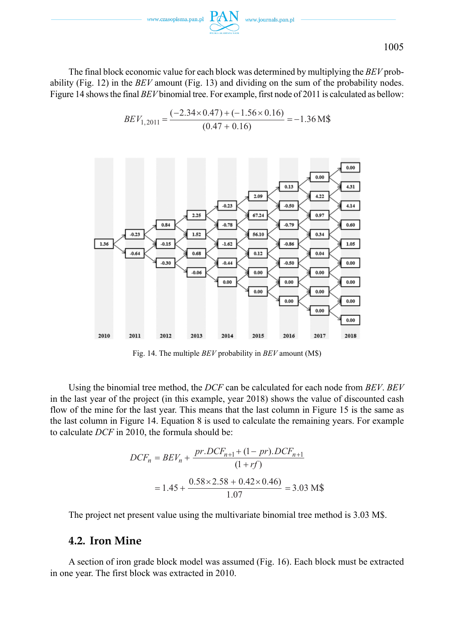

The final block economic value for each block was determined by multiplying the *BEV* probability (Fig. 12) in the *BEV* amount (Fig. 13) and dividing on the sum of the probability nodes. Figure 14 shows the final *BEV* binomial tree. For example, first node of 2011 is calculated as bellow:

$$
BEV_{1,2011} = \frac{(-2.34 \times 0.47) + (-1.56 \times 0.16)}{(0.47 + 0.16)} = -1.36
$$
 M\$



Fig. 14. The multiple *BEV* probability in *BEV* amount (M\$)

Using the binomial tree method, the *DCF* can be calculated for each node from *BEV*. *BEV* in the last year of the project (in this example, year 2018) shows the value of discounted cash flow of the mine for the last year. This means that the last column in Figure 15 is the same as the last column in Figure 14. Equation 8 is used to calculate the remaining years. For example to calculate *DCF* in 2010, the formula should be:

$$
DCF_n = BEV_n + \frac{pr. DCF_{n+1} + (1 - pr). DCF_{n+1}}{(1 + rf)}
$$
  
= 1.45 +  $\frac{0.58 \times 2.58 + 0.42 \times 0.46}{1.07}$  = 3.03 M\$

The project net present value using the multivariate binomial tree method is 3.03 M\$.

### **4.2. Iron Mine**

A section of iron grade block model was assumed (Fig. 16). Each block must be extracted in one year. The first block was extracted in 2010.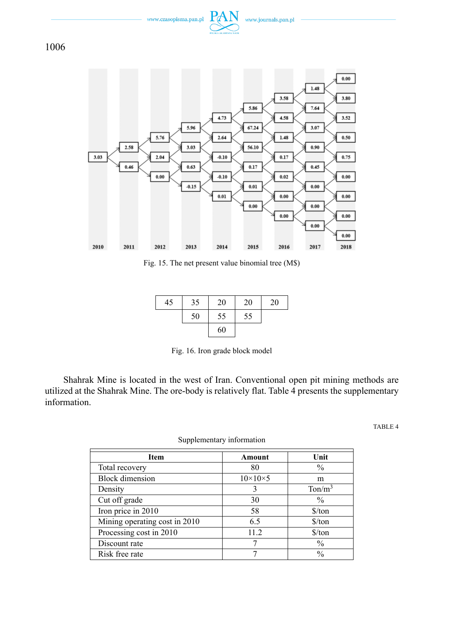



Fig. 15. The net present value binomial tree (M\$)

| 45 | 35 | 20 | 20 | 20 |
|----|----|----|----|----|
|    | 50 | 55 | 55 |    |
|    |    | 60 |    |    |

Fig. 16. Iron grade block model

Shahrak Mine is located in the west of Iran. Conventional open pit mining methods are utilized at the Shahrak Mine. The ore-body is relatively flat. Table 4 presents the supplementary information.

TABLE 4

| <b>Item</b>                   | Amount              | Unit                          |
|-------------------------------|---------------------|-------------------------------|
| Total recovery                | 80                  | $\frac{0}{0}$                 |
| <b>Block</b> dimension        | $10\times10\times5$ | m                             |
| Density                       | 3                   | $T \text{on/m}^3$             |
| Cut off grade                 | 30                  | $\frac{0}{0}$                 |
| Iron price in 2010            | 58                  | $\frac{\text{S}}{\text{ton}}$ |
| Mining operating cost in 2010 | 6.5                 | $\frac{\text{S}}{\text{ton}}$ |
| Processing cost in 2010       | 11.2                | $\frac{\text{S}}{\text{ton}}$ |
| Discount rate                 | 7                   | $\frac{0}{0}$                 |
| Risk free rate                |                     | $\frac{0}{0}$                 |

Supplementary information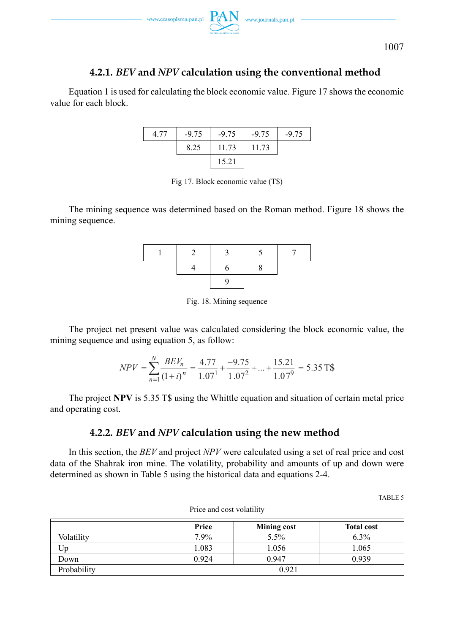

### **4.2.1.** *BEV* **and** *NPV* **calculation using the conventional method**

Equation 1 is used for calculating the block economic value. Figure 17 shows the economic value for each block.

| 4.77 | $-9.75$ | $-9.75$ | $-9.75$ | $-9.75$ |
|------|---------|---------|---------|---------|
|      | 8.25    | 11.73   | 11.73   |         |
|      |         | 15.21   |         |         |

Fig 17. Block economic value (T\$)

The mining sequence was determined based on the Roman method. Figure 18 shows the mining sequence.

Fig. 18. Mining sequence

The project net present value was calculated considering the block economic value, the mining sequence and using equation 5, as follow:

$$
NPV = \sum_{n=1}^{N} \frac{BEV_n}{(1+i)^n} = \frac{4.77}{1.07^1} + \frac{-9.75}{1.07^2} + \dots + \frac{15.21}{1.07^9} = 5.35 \text{ T\%}
$$

The project **NPV** is 5.35 T\$ using the Whittle equation and situation of certain metal price and operating cost.

### **4.2.2.** *BEV* **and** *NPV* **calculation using the new method**

In this section, the *BEV* and project *NPV* were calculated using a set of real price and cost data of the Shahrak iron mine. The volatility, probability and amounts of up and down were determined as shown in Table 5 using the historical data and equations 2-4.

TABLE 5

|             | Price   | <b>Mining cost</b> | <b>Total cost</b> |  |  |  |
|-------------|---------|--------------------|-------------------|--|--|--|
| Volatility  | $7.9\%$ | 5.5%               | 6.3%              |  |  |  |
| Jp.         | 1.083   | 1.056              | 1.065             |  |  |  |
| Down        | 0.924   | 0.947              | 0.939             |  |  |  |
| Probability |         | 0.921              |                   |  |  |  |

Price and cost volatility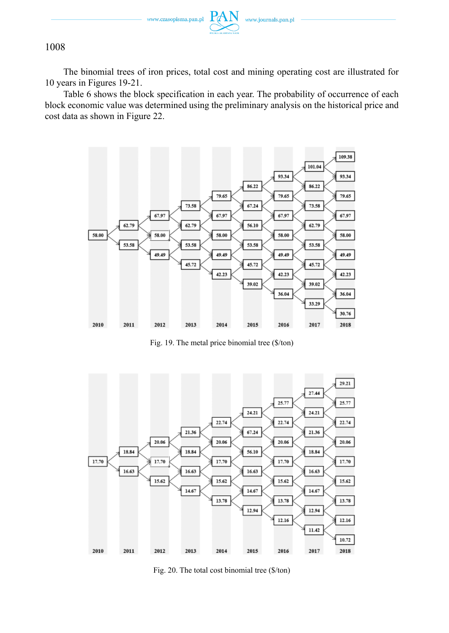

The binomial trees of iron prices, total cost and mining operating cost are illustrated for 10 years in Figures 19-21.

Table 6 shows the block specification in each year. The probability of occurrence of each block economic value was determined using the preliminary analysis on the historical price and cost data as shown in Figure 22.



Fig. 19. The metal price binomial tree (\$/ton)



Fig. 20. The total cost binomial tree (\$/ton)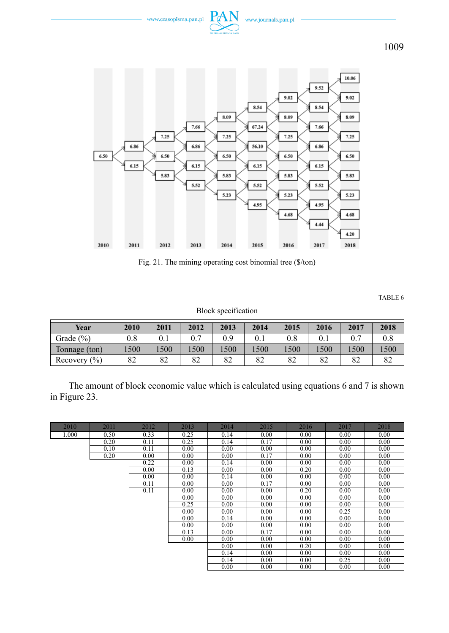



Fig. 21. The mining operating cost binomial tree (\$/ton)

TABLE 6

Block specification

| Year             | 2010 | 2011 | 2012 | 2013 | 2014 | 2015     | 2016 | 2017 | 2018 |
|------------------|------|------|------|------|------|----------|------|------|------|
| Grade (%)        | 0.8  |      |      | 0.9  |      | $_{0.8}$ |      |      |      |
| Tonnage (ton)    | 500  | .500 | 500  | 1500 | 500  | 500      | 500  | 500  | 1500 |
| Recovery $(\% )$ | 82   | 82   | 82   | 82   | 82   | 82       | 82   | 82   | ٥ź   |

The amount of block economic value which is calculated using equations 6 and 7 is shown in Figure 23.

| 2010  | 2011 | 2012 | 2013 | 2014 | 2015 | 2016 | 2017 | 2018 |
|-------|------|------|------|------|------|------|------|------|
| 1.000 | 0.50 | 0.33 | 0.25 | 0.14 | 0.00 | 0.00 | 0.00 | 0.00 |
|       | 0.20 | 0.11 | 0.25 | 0.14 | 0.17 | 0.00 | 0.00 | 0.00 |
|       | 0.10 | 0.11 | 0.00 | 0.00 | 0.00 | 0.00 | 0.00 | 0.00 |
|       | 0.20 | 0.00 | 0.00 | 0.00 | 0.17 | 0.00 | 0.00 | 0.00 |
|       |      | 0.22 | 0.00 | 0.14 | 0.00 | 0.00 | 0.00 | 0.00 |
|       |      | 0.00 | 0.13 | 0.00 | 0.00 | 0.20 | 0.00 | 0.00 |
|       |      | 0.00 | 0.00 | 0.14 | 0.00 | 0.00 | 0.00 | 0.00 |
|       |      | 0.11 | 0.00 | 0.00 | 0.17 | 0.00 | 0.00 | 0.00 |
|       |      | 0.11 | 0.00 | 0.00 | 0.00 | 0.20 | 0.00 | 0.00 |
|       |      |      | 0.00 | 0.00 | 0.00 | 0.00 | 0.00 | 0.00 |
|       |      |      | 0.25 | 0.00 | 0.00 | 0.00 | 0.00 | 0.00 |
|       |      |      | 0.00 | 0.00 | 0.00 | 0.00 | 0.25 | 0.00 |
|       |      |      | 0.00 | 0.14 | 0.00 | 0.00 | 0.00 | 0.00 |
|       |      |      | 0.00 | 0.00 | 0.00 | 0.00 | 0.00 | 0.00 |
|       |      |      | 0.13 | 0.00 | 0.17 | 0.00 | 0.00 | 0.00 |
|       |      |      | 0.00 | 0.00 | 0.00 | 0.00 | 0.00 | 0.00 |
|       |      |      |      | 0.00 | 0.00 | 0.20 | 0.00 | 0.00 |
|       |      |      |      | 0.14 | 0.00 | 0.00 | 0.00 | 0.00 |
|       |      |      |      | 0.14 | 0.00 | 0.00 | 0.25 | 0.00 |
|       |      |      |      | 0.00 | 0.00 | 0.00 | 0.00 | 0.00 |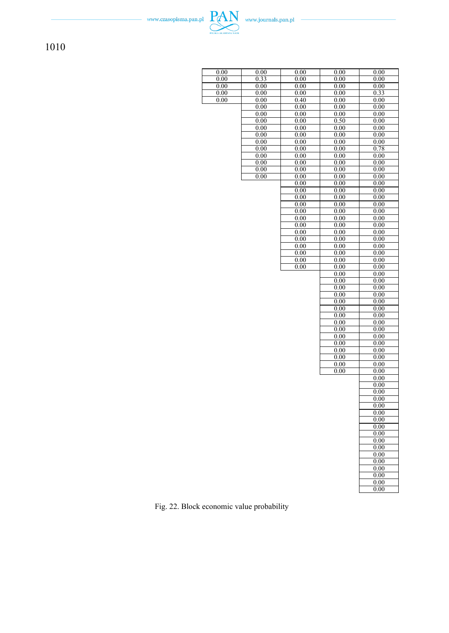| 0.00      | 0.00 | 0.00         | 0.00         | 0.00              |
|-----------|------|--------------|--------------|-------------------|
| 0.00      | 0.33 | 0.00         | 0.00         | 0.00              |
| 0.00      | 0.00 | 0.00         | 0.00         | 0.00              |
| $_{0.00}$ | 0.00 | 0.00         | 0.00         | 0.33              |
| 0.00      | 0.00 | 0.40         | 0.00         | 0.00              |
|           | 0.00 | 0.00         | 0.00         | 0.00              |
|           | 0.00 | 0.00         | 0.00         | 0.00              |
|           | 0.00 | 0.00         | 0.50         | 0.00              |
|           | 0.00 | 0.00         | 0.00         | 0.00              |
|           | 0.00 | 0.00         | 0.00         | 0.00              |
|           | 0.00 | 0.00         | 0.00         | 0.00              |
|           | 0.00 | 0.00         | 0.00         | 0.78              |
|           | 0.00 | 0.00         | 0.00         | 0.00              |
|           | 0.00 | 0.00         | 0.00         | 0.00              |
|           | 0.00 | 0.00         | 0.00         | 0.00              |
|           | 0.00 | 0.00         | 0.00         | 0.00              |
|           |      | 0.00         | 0.00         | 0.00              |
|           |      | 0.00         | 0.00         | 0.00              |
|           |      | 0.00<br>0.00 | 0.00<br>0.00 | 0.00<br>0.00      |
|           |      | 0.00         | 0.00         | 0.00              |
|           |      | 0.00         | 0.00         | 0.00              |
|           |      | 0.00         | 0.00         | 0.00              |
|           |      | 0.00         | 0.00         | 0.00              |
|           |      | 0.00         | 0.00         | 0.00              |
|           |      | 0.00         | 0.00         | 0.00              |
|           |      | 0.00         | 0.00         | 0.00              |
|           |      | 0.00         | 0.00         | 0.00              |
|           |      | $_{0.00}$    | 0.00         | 0.00              |
|           |      |              | 0.00         | 0.00              |
|           |      |              | 0.00         | 0.00              |
|           |      |              | 0.00         | 0.00              |
|           |      |              | 0.00         | 0.00              |
|           |      |              | 0.00         | 0.00              |
|           |      |              | 0.00         | 0.00<br>0.00      |
|           |      |              | 0.00<br>0.00 | 0.00              |
|           |      |              | 0.00         | 0.00              |
|           |      |              | 0.00         | 0.00              |
|           |      |              | 0.00         | 0.00              |
|           |      |              | 0.00         | 0.00              |
|           |      |              | 0.00         | 0.00              |
|           |      |              | 0.00         | 0.00              |
|           |      |              | 0.00         | 0.00              |
|           |      |              |              | 0.00              |
|           |      |              |              | 0.00              |
|           |      |              |              | 0.00              |
|           |      |              |              | 0.00              |
|           |      |              |              | $\overline{0.00}$ |
|           |      |              |              | 0.00<br>0.00      |
|           |      |              |              | 0.00              |
|           |      |              |              | 0.00              |
|           |      |              |              | 0.00              |
|           |      |              |              | 0.00              |
|           |      |              |              | 0.00              |
|           |      |              |              | 0.00              |
|           |      |              |              | 0.00              |
|           |      |              |              | 0.00              |
|           |      |              |              | 0.00              |
|           |      |              |              | 0.00              |
|           |      |              |              |                   |

Fig. 22. Block economic value probability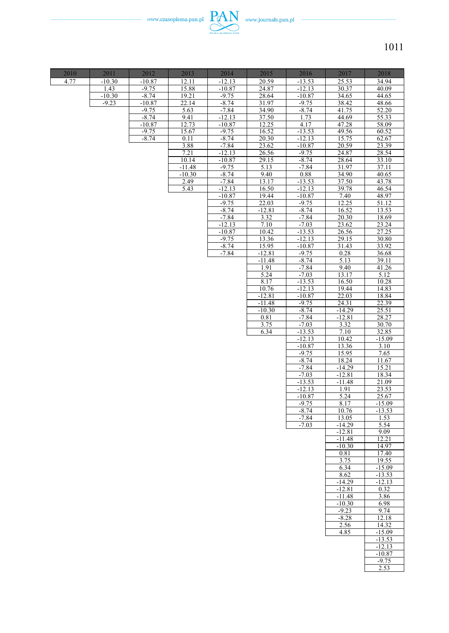

| 2010 | 2011                | 2012                | 2013           | 2014                | 2015              | 2016                 | 2017                 | 2018              |
|------|---------------------|---------------------|----------------|---------------------|-------------------|----------------------|----------------------|-------------------|
| 4.77 | $-10.30$            | $-10.87$            | 12.11          | $-12.13$            | 20.59             | $-13.53$             | 25.53                | 34.94             |
|      | 1.43                | $-9.75$             | 15.88          | $-10.87$            | 24.87             | $-12.13$             | 30.37                | 40.09             |
|      | $-10.30$<br>$-9.23$ | $-8.74$<br>$-10.87$ | 19.21<br>22.14 | $-9.75$<br>$-8.74$  | 28.64<br>31.97    | $-10.87$<br>$-9.75$  | 34.65<br>38.42       | 44.65<br>48.66    |
|      |                     | $-9.75$             | 5.63           | $-7.84$             | 34.90             | $-8.74$              | 41.75                | 52.20             |
|      |                     | $-8.74$             | 9.41           | $-12.13$            | 37.50             | 1.73                 | 44.69                | 55.33             |
|      |                     | $-10.87$            | 12.73          | $-10.87$            | 12.25             | 4.17                 | 47.28                | 58.09             |
|      |                     | $-9.75$             | 15.67          | $-9.75$             | 16.52             | $-13.53$             | 49.56                | 60.52             |
|      |                     | $-8.74$             | 0.11           | $-8.74$             | 20.30             | $-12.13$             | 15.75                | 62.67             |
|      |                     |                     | 3.88<br>7.21   | $-7.84$<br>$-12.13$ | 23.62<br>26.56    | $-10.87$<br>$-9.75$  | 20.59                | 23.39<br>28.54    |
|      |                     |                     | 10.14          | $-10.87$            | 29.15             | $-8.74$              | 24.87<br>28.64       | 33.10             |
|      |                     |                     | $-11.48$       | $-9.75$             | 5.13              | $-7.84$              | 31.97                | 37.11             |
|      |                     |                     | $-10.30$       | $-8.74$             | 9.40              | 0.88                 | 34.90                | 40.65             |
|      |                     |                     | 2.49           | $-7.84$             | 13.17             | $-13.53$             | 37.50                | 43.78             |
|      |                     |                     | 5.43           | $-12.13$            | 16.50             | $-12.13$             | 39.78                | 46.54             |
|      |                     |                     |                | $-10.87$<br>$-9.75$ | 19.44<br>22.03    | $-10.87$<br>$-9.75$  | 7.40<br>12.25        | 48.97<br>51.12    |
|      |                     |                     |                | $-8.74$             | $-12.81$          | $-8.74$              | 16.52                | 13.53             |
|      |                     |                     |                | $-7.84$             | 3.32              | $-7.84$              | 20.30                | 18.69             |
|      |                     |                     |                | $-12.13$            | 7.10              | $-7.03$              | 23.62                | 23.24             |
|      |                     |                     |                | $-10.87$            | 10.42             | $-13.53$             | 26.56                | 27.25             |
|      |                     |                     |                | $-9.75$             | 13.36             | $-12.13$             | 29.15                | 30.80             |
|      |                     |                     |                | $-8.74$<br>$-7.84$  | 15.95<br>$-12.81$ | $-10.87$<br>$-9.75$  | 31.43<br>0.28        | 33.92<br>36.68    |
|      |                     |                     |                |                     | $-11.48$          | $-8.74$              | 5.13                 | 39.11             |
|      |                     |                     |                |                     | 1.91              | $-7.84$              | 9.40                 | 41.26             |
|      |                     |                     |                |                     | 5.24              | $-7.03$              | 13.17                | $\overline{5}.12$ |
|      |                     |                     |                |                     | 8.17              | $-13.53$             | 16.50                | 10.28             |
|      |                     |                     |                |                     | 10.76<br>$-12.81$ | $-12.13$<br>$-10.87$ | 19.44<br>22.03       | 14.83<br>18.84    |
|      |                     |                     |                |                     | $-11.48$          | $-9.75$              | 24.31                | 22.39             |
|      |                     |                     |                |                     | $-10.30$          | $-8.74$              | $-14.29$             | 25.51             |
|      |                     |                     |                |                     | 0.81              | $-7.84$              | $-12.81$             | 28.27             |
|      |                     |                     |                |                     | 3.75              | $-7.03$              | 3.32                 | 30.70             |
|      |                     |                     |                |                     | 6.34              | $-13.53$<br>$-12.13$ | 7.10<br>10.42        | 32.85<br>$-15.09$ |
|      |                     |                     |                |                     |                   | $-10.87$             | 13.36                | 3.10              |
|      |                     |                     |                |                     |                   | $-9.75$              | 15.95                | 7.65              |
|      |                     |                     |                |                     |                   | $-8.74$              | 18.24                | 11.67             |
|      |                     |                     |                |                     |                   | $-7.84$<br>$-7.03$   | $-14.29$<br>$-12.81$ | 15.21<br>18.34    |
|      |                     |                     |                |                     |                   | $-13.53$             | $-11.48$             | 21.09             |
|      |                     |                     |                |                     |                   | $-12.13$             | 1.91                 | 23.53             |
|      |                     |                     |                |                     |                   | $-10.87$             | 5.24                 | 25.67             |
|      |                     |                     |                |                     |                   | $-9.75$              | 8.17                 | $-15.09$          |
|      |                     |                     |                |                     |                   | $-8.74$<br>$-7.84$   | 10.76<br>13.05       | $-13.53$<br>1.53  |
|      |                     |                     |                |                     |                   | $-7.03$              | $-14.29$             | 5.54              |
|      |                     |                     |                |                     |                   |                      | $-12.81$             | 9.09              |
|      |                     |                     |                |                     |                   |                      | $-11.48$             | 12.21             |
|      |                     |                     |                |                     |                   |                      | $-10.30$<br>0.81     | 14.97<br>17.40    |
|      |                     |                     |                |                     |                   |                      | 3.75                 | 19.55             |
|      |                     |                     |                |                     |                   |                      | 6.34                 | $-15.09$          |
|      |                     |                     |                |                     |                   |                      | 8.62                 | $-13.53$          |
|      |                     |                     |                |                     |                   |                      | $-14.29$             | $-12.13$          |
|      |                     |                     |                |                     |                   |                      | $-12.81$<br>$-11.48$ | 0.32<br>3.86      |
|      |                     |                     |                |                     |                   |                      | $-10.30$             | 6.98              |
|      |                     |                     |                |                     |                   |                      | $-9.23$              | 9.74              |
|      |                     |                     |                |                     |                   |                      | $-8.28$              | 12.18             |
|      |                     |                     |                |                     |                   |                      | 2.56<br>4.85         | 14.32<br>$-15.09$ |
|      |                     |                     |                |                     |                   |                      |                      | $-13.53$          |
|      |                     |                     |                |                     |                   |                      |                      | $-12.13$          |
|      |                     |                     |                |                     |                   |                      |                      | $-10.87$          |
|      |                     |                     |                |                     |                   |                      |                      | $-9.75$           |
|      |                     |                     |                |                     |                   |                      |                      | 2.53              |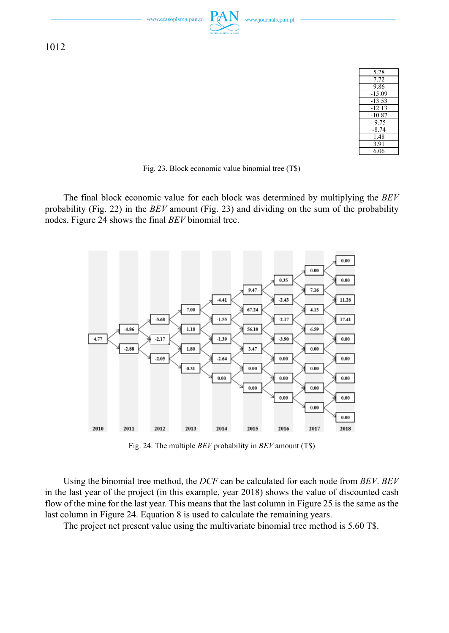

Fig. 23. Block economic value binomial tree (T\$)

The final block economic value for each block was determined by multiplying the *BEV* probability (Fig. 22) in the *BEV* amount (Fig. 23) and dividing on the sum of the probability nodes. Figure 24 shows the final *BEV* binomial tree.



Fig. 24. The multiple *BEV* probability in *BEV* amount (T\$)

Using the binomial tree method, the *DCF* can be calculated for each node from *BEV*. *BEV* in the last year of the project (in this example, year 2018) shows the value of discounted cash flow of the mine for the last year. This means that the last column in Figure 25 is the same as the last column in Figure 24. Equation 8 is used to calculate the remaining years.

The project net present value using the multivariate binomial tree method is 5.60 T\$.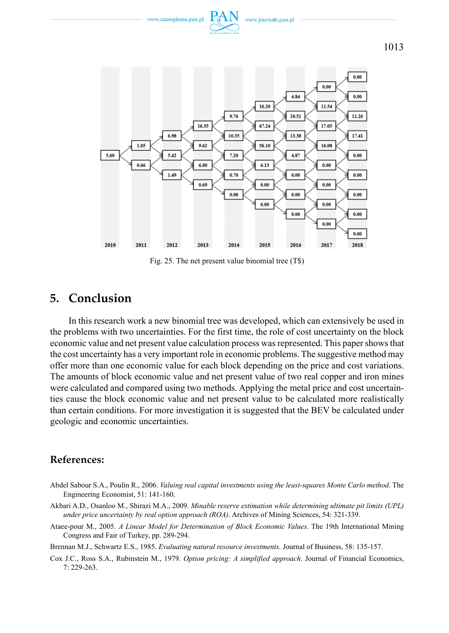



Fig. 25. The net present value binomial tree (T\$)

# **5. Conclusion**

In this research work a new binomial tree was developed, which can extensively be used in the problems with two uncertainties. For the first time, the role of cost uncertainty on the block economic value and net present value calculation process was represented. This paper shows that the cost uncertainty has a very important role in economic problems. The suggestive method may offer more than one economic value for each block depending on the price and cost variations. The amounts of block economic value and net present value of two real copper and iron mines were calculated and compared using two methods. Applying the metal price and cost uncertainties cause the block economic value and net present value to be calculated more realistically than certain conditions. For more investigation it is suggested that the BEV be calculated under geologic and economic uncertainties.

### **References:**

- Abdel Sabour S.A., Poulin R., 2006. *Valuing real capital investments using the least-squares Monte Carlo method*. The Engineering Economist, 51: 141-160.
- Akbari A.D., Osanloo M., Shirazi M.A., 2009. *Minable reserve estimation while determining ultimate pit limits (UPL) under price uncertainty by real option approach (ROA)*. Archives of Mining Sciences, 54: 321-339.
- Ataee-pour M., 2005. *A Linear Model for Determination of Block Economic Values*. The 19th International Mining Congress and Fair of Turkey, pp. 289-294.

Brennan M.J., Schwartz E.S., 1985. *Evaluating natural resource investments*. Journal of Business, 58: 135-157.

Cox J.C., Ross S.A., Rubinstein M., 1979*. Option pricing: A simplified approach*. Journal of Financial Economics, 7: 229-263.